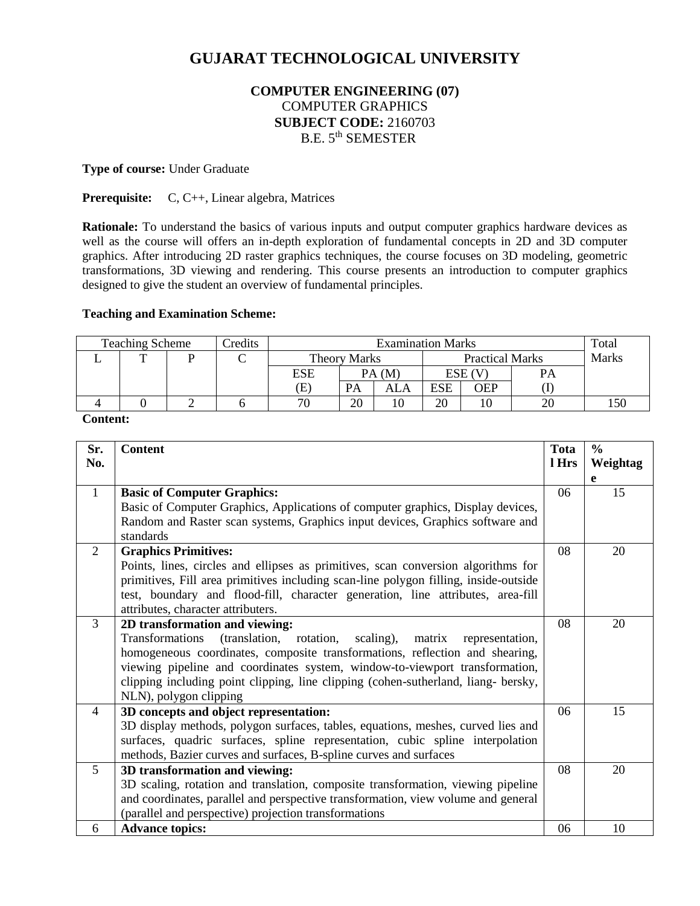# **GUJARAT TECHNOLOGICAL UNIVERSITY**

# **COMPUTER ENGINEERING (07)** COMPUTER GRAPHICS **SUBJECT CODE:** 2160703 B.E. 5<sup>th</sup> SEMESTER

#### **Type of course:** Under Graduate

**Prerequisite:** C, C++, Linear algebra, Matrices

**Rationale:** To understand the basics of various inputs and output computer graphics hardware devices as well as the course will offers an in-depth exploration of fundamental concepts in 2D and 3D computer graphics. After introducing 2D raster graphics techniques, the course focuses on 3D modeling, geometric transformations, 3D viewing and rendering. This course presents an introduction to computer graphics designed to give the student an overview of fundamental principles.

#### **Teaching and Examination Scheme:**

| Credits<br><b>Teaching Scheme</b> |  |  | <b>Examination Marks</b> |       |                        |            |       | Total |     |
|-----------------------------------|--|--|--------------------------|-------|------------------------|------------|-------|-------|-----|
|                                   |  |  | <b>Theory Marks</b>      |       | <b>Practical Marks</b> |            | Marks |       |     |
|                                   |  |  | <b>ESE</b>               | PA(M) |                        | ESE (V     |       | PA    |     |
|                                   |  |  | Έ)                       | PA    | ALA                    | <b>ESE</b> | OEP   |       |     |
|                                   |  |  |                          | 20    | 10                     | 20         | 10    |       | 150 |

**Content:**

| Sr.<br>No.     | <b>Content</b>                                                                       | <b>Tota</b><br>l Hrs | $\frac{6}{6}$<br>Weightag |
|----------------|--------------------------------------------------------------------------------------|----------------------|---------------------------|
|                |                                                                                      |                      | e                         |
| $\mathbf{1}$   | <b>Basic of Computer Graphics:</b>                                                   | 06                   | 15                        |
|                | Basic of Computer Graphics, Applications of computer graphics, Display devices,      |                      |                           |
|                | Random and Raster scan systems, Graphics input devices, Graphics software and        |                      |                           |
|                | standards                                                                            |                      |                           |
| 2              | <b>Graphics Primitives:</b>                                                          | 08                   | 20                        |
|                | Points, lines, circles and ellipses as primitives, scan conversion algorithms for    |                      |                           |
|                | primitives, Fill area primitives including scan-line polygon filling, inside-outside |                      |                           |
|                | test, boundary and flood-fill, character generation, line attributes, area-fill      |                      |                           |
|                | attributes, character attributers.                                                   |                      |                           |
| 3              | 2D transformation and viewing:                                                       | 08                   | 20                        |
|                | Transformations<br>(translation, rotation,<br>scaling),<br>matrix<br>representation, |                      |                           |
|                | homogeneous coordinates, composite transformations, reflection and shearing,         |                      |                           |
|                | viewing pipeline and coordinates system, window-to-viewport transformation,          |                      |                           |
|                | clipping including point clipping, line clipping (cohen-sutherland, liang- bersky,   |                      |                           |
|                | NLN), polygon clipping                                                               |                      |                           |
| $\overline{4}$ | 3D concepts and object representation:                                               | 06                   | 15                        |
|                | 3D display methods, polygon surfaces, tables, equations, meshes, curved lies and     |                      |                           |
|                | surfaces, quadric surfaces, spline representation, cubic spline interpolation        |                      |                           |
|                | methods, Bazier curves and surfaces, B-spline curves and surfaces                    |                      |                           |
| 5              | 3D transformation and viewing:                                                       | 08                   | 20                        |
|                | 3D scaling, rotation and translation, composite transformation, viewing pipeline     |                      |                           |
|                | and coordinates, parallel and perspective transformation, view volume and general    |                      |                           |
|                | (parallel and perspective) projection transformations                                |                      |                           |
| 6              | <b>Advance topics:</b>                                                               | 06                   | 10                        |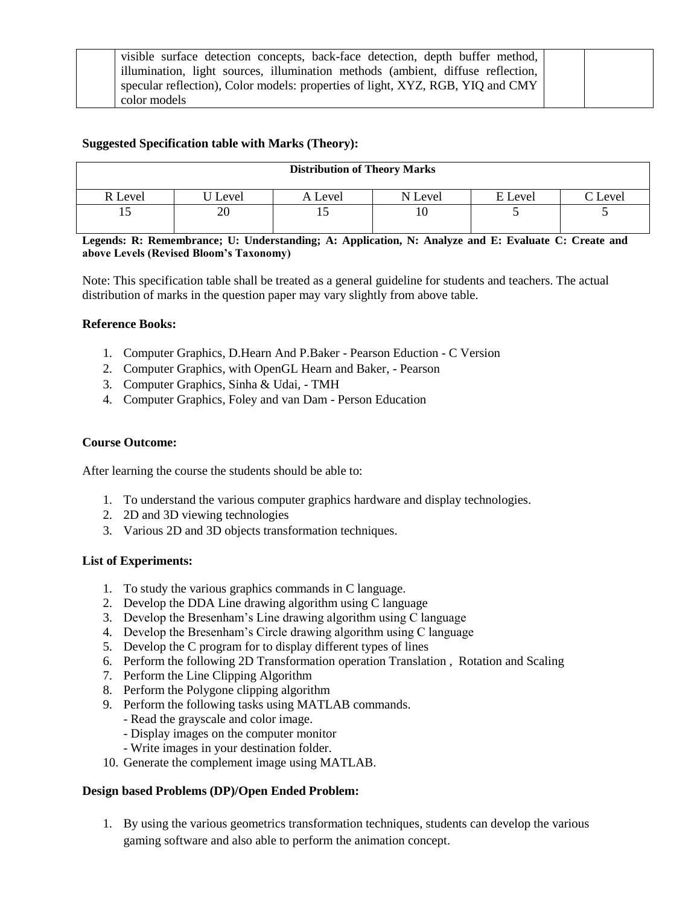| visible surface detection concepts, back-face detection, depth buffer method,   |  |
|---------------------------------------------------------------------------------|--|
| illumination, light sources, illumination methods (ambient, diffuse reflection, |  |
| specular reflection), Color models: properties of light, XYZ, RGB, YIQ and CMY  |  |
| color models                                                                    |  |

## **Suggested Specification table with Marks (Theory):**

| <b>Distribution of Theory Marks</b> |       |         |         |         |                |  |  |
|-------------------------------------|-------|---------|---------|---------|----------------|--|--|
| R Level                             | Level | A Level | N Level | E Level | $\Gamma$ Level |  |  |
| LJ                                  |       | 19      |         |         |                |  |  |

**Legends: R: Remembrance; U: Understanding; A: Application, N: Analyze and E: Evaluate C: Create and above Levels (Revised Bloom's Taxonomy)**

Note: This specification table shall be treated as a general guideline for students and teachers. The actual distribution of marks in the question paper may vary slightly from above table.

#### **Reference Books:**

- 1. Computer Graphics, D.Hearn And P.Baker Pearson Eduction C Version
- 2. Computer Graphics, with OpenGL Hearn and Baker, Pearson
- 3. Computer Graphics, Sinha & Udai, TMH
- 4. Computer Graphics, Foley and van Dam Person Education

#### **Course Outcome:**

After learning the course the students should be able to:

- 1. To understand the various computer graphics hardware and display technologies.
- 2. 2D and 3D viewing technologies
- 3. Various 2D and 3D objects transformation techniques.

#### **List of Experiments:**

- 1. To study the various graphics commands in C language.
- 2. Develop the DDA Line drawing algorithm using C language
- 3. Develop the Bresenham's Line drawing algorithm using C language
- 4. Develop the Bresenham's Circle drawing algorithm using C language
- 5. Develop the C program for to display different types of lines
- 6. Perform the following 2D Transformation operation Translation , Rotation and Scaling
- 7. Perform the Line Clipping Algorithm
- 8. Perform the Polygone clipping algorithm
- 9. Perform the following tasks using MATLAB commands.
	- Read the grayscale and color image.
	- Display images on the computer monitor
	- Write images in your destination folder.
- 10. Generate the complement image using MATLAB.

#### **Design based Problems (DP)/Open Ended Problem:**

1. By using the various geometrics transformation techniques, students can develop the various gaming software and also able to perform the animation concept.